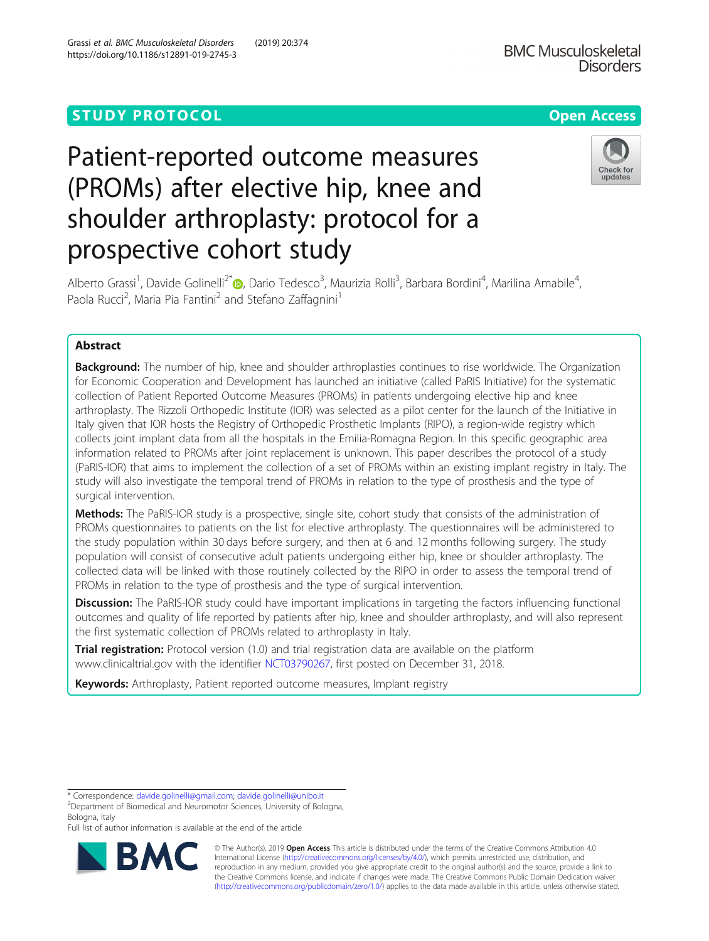## **STUDY PROTOCOL CONSUMING THE RESERVE ACCESS**

# Patient-reported outcome measures (PROMs) after elective hip, knee and shoulder arthroplasty: protocol for a prospective cohort study

Alberto Grassi<sup>1</sup>, Davide Golinelli<sup>2[\\*](http://orcid.org/0000-0001-7331-9520)</sup> (**p**, Dario Tedesco<sup>3</sup>, Maurizia Rolli<sup>3</sup>, Barbara Bordini<sup>4</sup>, Marilina Amabile<sup>4</sup> , Paola Rucci<sup>2</sup>, Maria Pia Fantini<sup>2</sup> and Stefano Zaffagnini<sup>1</sup>

## Abstract

**Background:** The number of hip, knee and shoulder arthroplasties continues to rise worldwide. The Organization for Economic Cooperation and Development has launched an initiative (called PaRIS Initiative) for the systematic collection of Patient Reported Outcome Measures (PROMs) in patients undergoing elective hip and knee arthroplasty. The Rizzoli Orthopedic Institute (IOR) was selected as a pilot center for the launch of the Initiative in Italy given that IOR hosts the Registry of Orthopedic Prosthetic Implants (RIPO), a region-wide registry which collects joint implant data from all the hospitals in the Emilia-Romagna Region. In this specific geographic area information related to PROMs after joint replacement is unknown. This paper describes the protocol of a study (PaRIS-IOR) that aims to implement the collection of a set of PROMs within an existing implant registry in Italy. The study will also investigate the temporal trend of PROMs in relation to the type of prosthesis and the type of surgical intervention.

Methods: The PaRIS-IOR study is a prospective, single site, cohort study that consists of the administration of PROMs questionnaires to patients on the list for elective arthroplasty. The questionnaires will be administered to the study population within 30 days before surgery, and then at 6 and 12 months following surgery. The study population will consist of consecutive adult patients undergoing either hip, knee or shoulder arthroplasty. The collected data will be linked with those routinely collected by the RIPO in order to assess the temporal trend of PROMs in relation to the type of prosthesis and the type of surgical intervention.

**Discussion:** The PaRIS-IOR study could have important implications in targeting the factors influencing functional outcomes and quality of life reported by patients after hip, knee and shoulder arthroplasty, and will also represent the first systematic collection of PROMs related to arthroplasty in Italy.

**Trial registration:** Protocol version (1.0) and trial registration data are available on the platform www.clinicaltrial.gov with the identifier [NCT03790267,](https://clinicaltrials.gov/ct2/show/NCT03790267) first posted on December 31, 2018.

Keywords: Arthroplasty, Patient reported outcome measures, Implant registry

Department of Biomedical and Neuromotor Sciences, University of Bologna, Bologna, Italy

Full list of author information is available at the end of the article

RA







<sup>\*</sup> Correspondence: [davide.golinelli@gmail.com;](mailto:davide.golinelli@gmail.com) [davide.golinelli@unibo.it](mailto:davide.golinelli@unibo.it) <sup>2</sup>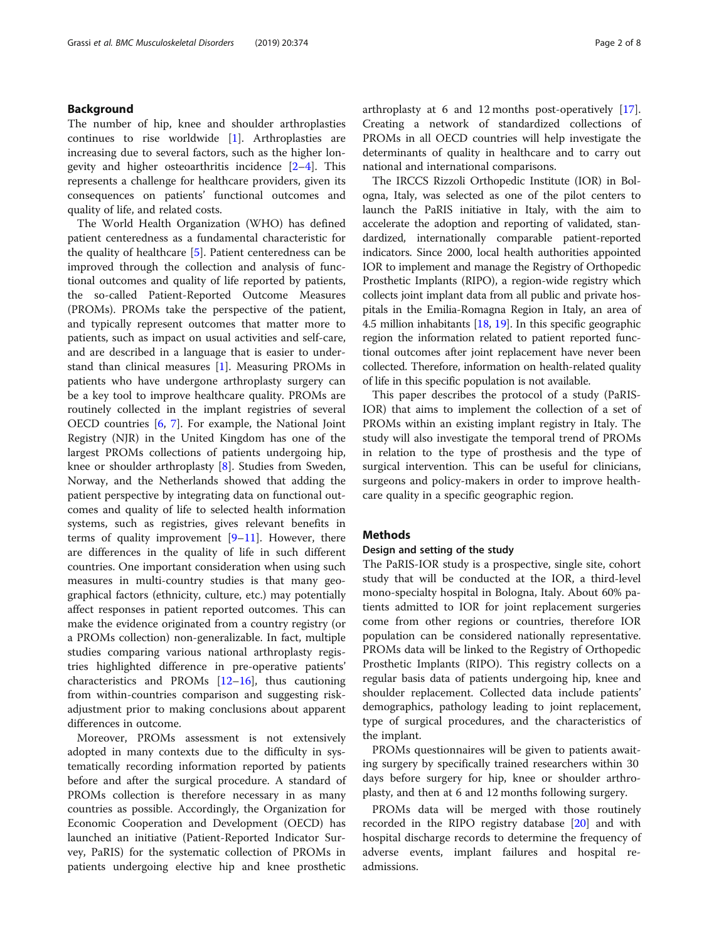## Background

The number of hip, knee and shoulder arthroplasties continues to rise worldwide [[1\]](#page-6-0). Arthroplasties are increasing due to several factors, such as the higher longevity and higher osteoarthritis incidence [[2](#page-6-0)–[4](#page-6-0)]. This represents a challenge for healthcare providers, given its consequences on patients' functional outcomes and quality of life, and related costs.

The World Health Organization (WHO) has defined patient centeredness as a fundamental characteristic for the quality of healthcare [[5\]](#page-6-0). Patient centeredness can be improved through the collection and analysis of functional outcomes and quality of life reported by patients, the so-called Patient-Reported Outcome Measures (PROMs). PROMs take the perspective of the patient, and typically represent outcomes that matter more to patients, such as impact on usual activities and self-care, and are described in a language that is easier to understand than clinical measures [\[1\]](#page-6-0). Measuring PROMs in patients who have undergone arthroplasty surgery can be a key tool to improve healthcare quality. PROMs are routinely collected in the implant registries of several OECD countries [\[6](#page-6-0), [7](#page-6-0)]. For example, the National Joint Registry (NJR) in the United Kingdom has one of the largest PROMs collections of patients undergoing hip, knee or shoulder arthroplasty [[8\]](#page-6-0). Studies from Sweden, Norway, and the Netherlands showed that adding the patient perspective by integrating data on functional outcomes and quality of life to selected health information systems, such as registries, gives relevant benefits in terms of quality improvement  $[9-11]$  $[9-11]$  $[9-11]$  $[9-11]$ . However, there are differences in the quality of life in such different countries. One important consideration when using such measures in multi-country studies is that many geographical factors (ethnicity, culture, etc.) may potentially affect responses in patient reported outcomes. This can make the evidence originated from a country registry (or a PROMs collection) non-generalizable. In fact, multiple studies comparing various national arthroplasty registries highlighted difference in pre-operative patients' characteristics and PROMs [\[12](#page-6-0)–[16](#page-6-0)], thus cautioning from within-countries comparison and suggesting riskadjustment prior to making conclusions about apparent differences in outcome.

Moreover, PROMs assessment is not extensively adopted in many contexts due to the difficulty in systematically recording information reported by patients before and after the surgical procedure. A standard of PROMs collection is therefore necessary in as many countries as possible. Accordingly, the Organization for Economic Cooperation and Development (OECD) has launched an initiative (Patient-Reported Indicator Survey, PaRIS) for the systematic collection of PROMs in patients undergoing elective hip and knee prosthetic arthroplasty at 6 and 12 months post-operatively [\[17](#page-6-0)]. Creating a network of standardized collections of PROMs in all OECD countries will help investigate the determinants of quality in healthcare and to carry out national and international comparisons.

The IRCCS Rizzoli Orthopedic Institute (IOR) in Bologna, Italy, was selected as one of the pilot centers to launch the PaRIS initiative in Italy, with the aim to accelerate the adoption and reporting of validated, standardized, internationally comparable patient-reported indicators. Since 2000, local health authorities appointed IOR to implement and manage the Registry of Orthopedic Prosthetic Implants (RIPO), a region-wide registry which collects joint implant data from all public and private hospitals in the Emilia-Romagna Region in Italy, an area of 4.5 million inhabitants [\[18,](#page-6-0) [19](#page-6-0)]. In this specific geographic region the information related to patient reported functional outcomes after joint replacement have never been collected. Therefore, information on health-related quality of life in this specific population is not available.

This paper describes the protocol of a study (PaRIS-IOR) that aims to implement the collection of a set of PROMs within an existing implant registry in Italy. The study will also investigate the temporal trend of PROMs in relation to the type of prosthesis and the type of surgical intervention. This can be useful for clinicians, surgeons and policy-makers in order to improve healthcare quality in a specific geographic region.

## Methods

## Design and setting of the study

The PaRIS-IOR study is a prospective, single site, cohort study that will be conducted at the IOR, a third-level mono-specialty hospital in Bologna, Italy. About 60% patients admitted to IOR for joint replacement surgeries come from other regions or countries, therefore IOR population can be considered nationally representative. PROMs data will be linked to the Registry of Orthopedic Prosthetic Implants (RIPO). This registry collects on a regular basis data of patients undergoing hip, knee and shoulder replacement. Collected data include patients' demographics, pathology leading to joint replacement, type of surgical procedures, and the characteristics of the implant.

PROMs questionnaires will be given to patients awaiting surgery by specifically trained researchers within 30 days before surgery for hip, knee or shoulder arthroplasty, and then at 6 and 12 months following surgery.

PROMs data will be merged with those routinely recorded in the RIPO registry database [[20](#page-6-0)] and with hospital discharge records to determine the frequency of adverse events, implant failures and hospital readmissions.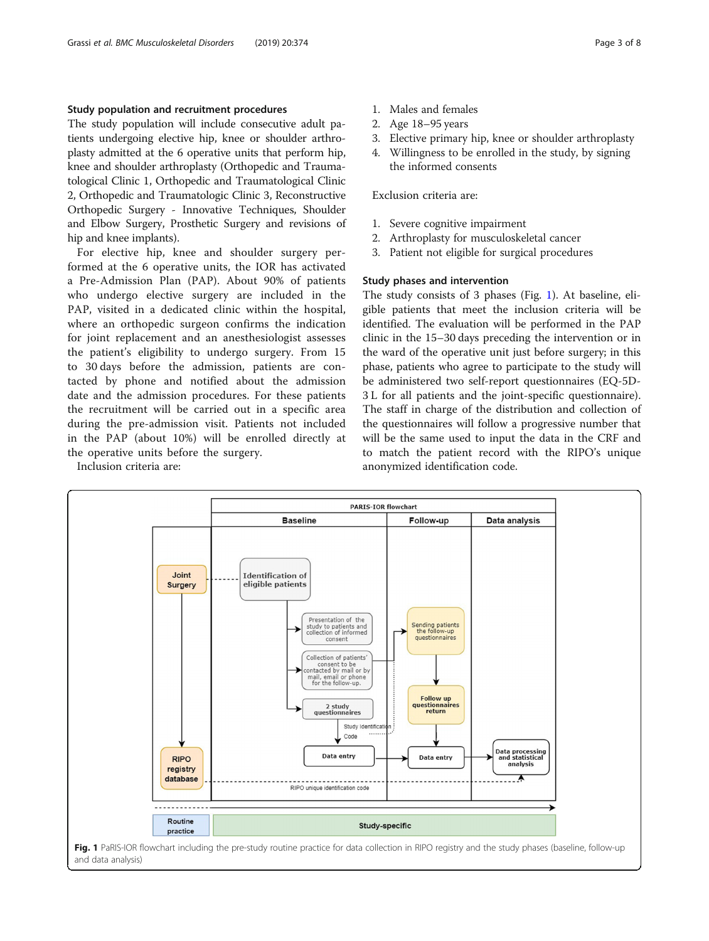## Study population and recruitment procedures

The study population will include consecutive adult patients undergoing elective hip, knee or shoulder arthroplasty admitted at the 6 operative units that perform hip, knee and shoulder arthroplasty (Orthopedic and Traumatological Clinic 1, Orthopedic and Traumatological Clinic 2, Orthopedic and Traumatologic Clinic 3, Reconstructive Orthopedic Surgery - Innovative Techniques, Shoulder and Elbow Surgery, Prosthetic Surgery and revisions of hip and knee implants).

For elective hip, knee and shoulder surgery performed at the 6 operative units, the IOR has activated a Pre-Admission Plan (PAP). About 90% of patients who undergo elective surgery are included in the PAP, visited in a dedicated clinic within the hospital, where an orthopedic surgeon confirms the indication for joint replacement and an anesthesiologist assesses the patient's eligibility to undergo surgery. From 15 to 30 days before the admission, patients are contacted by phone and notified about the admission date and the admission procedures. For these patients the recruitment will be carried out in a specific area during the pre-admission visit. Patients not included in the PAP (about 10%) will be enrolled directly at the operative units before the surgery.

Inclusion criteria are:

- 1. Males and females
- 2. Age 18–95 years
- 3. Elective primary hip, knee or shoulder arthroplasty
- 4. Willingness to be enrolled in the study, by signing the informed consents

Exclusion criteria are:

- 1. Severe cognitive impairment
- 2. Arthroplasty for musculoskeletal cancer
- 3. Patient not eligible for surgical procedures

## Study phases and intervention

The study consists of 3 phases (Fig. 1). At baseline, eligible patients that meet the inclusion criteria will be identified. The evaluation will be performed in the PAP clinic in the 15–30 days preceding the intervention or in the ward of the operative unit just before surgery; in this phase, patients who agree to participate to the study will be administered two self-report questionnaires (EQ-5D-3 L for all patients and the joint-specific questionnaire). The staff in charge of the distribution and collection of the questionnaires will follow a progressive number that will be the same used to input the data in the CRF and to match the patient record with the RIPO's unique anonymized identification code.



and data analysis)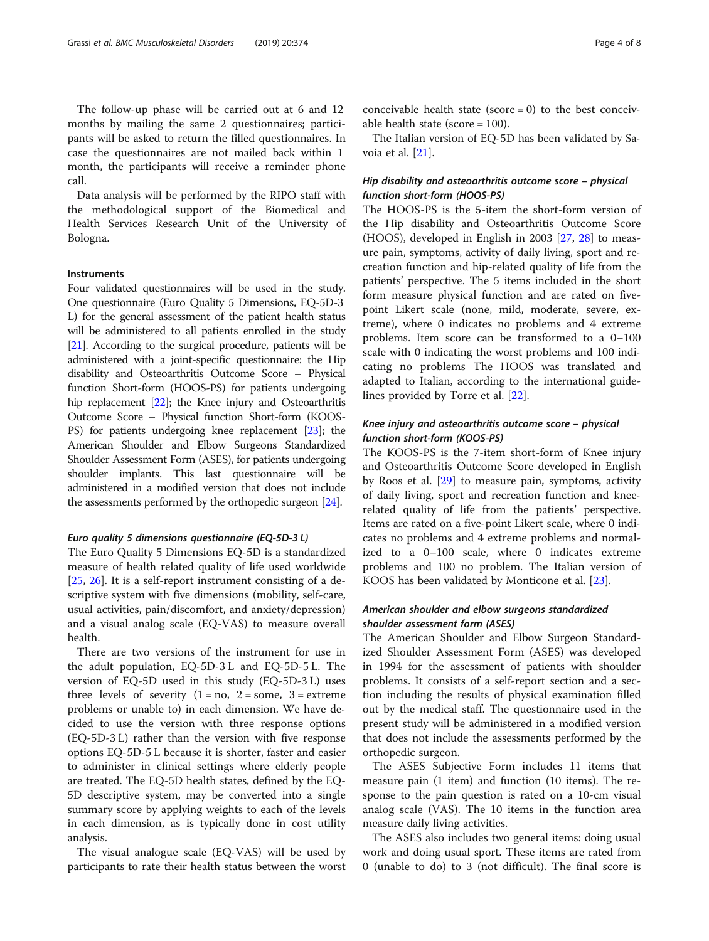The follow-up phase will be carried out at 6 and 12 months by mailing the same 2 questionnaires; participants will be asked to return the filled questionnaires. In case the questionnaires are not mailed back within 1 month, the participants will receive a reminder phone call.

Data analysis will be performed by the RIPO staff with the methodological support of the Biomedical and Health Services Research Unit of the University of Bologna.

#### **Instruments**

Four validated questionnaires will be used in the study. One questionnaire (Euro Quality 5 Dimensions, EQ-5D-3 L) for the general assessment of the patient health status will be administered to all patients enrolled in the study [[21](#page-6-0)]. According to the surgical procedure, patients will be administered with a joint-specific questionnaire: the Hip disability and Osteoarthritis Outcome Score – Physical function Short-form (HOOS-PS) for patients undergoing hip replacement [[22](#page-6-0)]; the Knee injury and Osteoarthritis Outcome Score – Physical function Short-form (KOOS-PS) for patients undergoing knee replacement [\[23\]](#page-7-0); the American Shoulder and Elbow Surgeons Standardized Shoulder Assessment Form (ASES), for patients undergoing shoulder implants. This last questionnaire will be administered in a modified version that does not include the assessments performed by the orthopedic surgeon [\[24\]](#page-7-0).

#### Euro quality 5 dimensions questionnaire (EQ-5D-3 L)

The Euro Quality 5 Dimensions EQ-5D is a standardized measure of health related quality of life used worldwide [[25,](#page-7-0) [26\]](#page-7-0). It is a self-report instrument consisting of a descriptive system with five dimensions (mobility, self-care, usual activities, pain/discomfort, and anxiety/depression) and a visual analog scale (EQ-VAS) to measure overall health.

There are two versions of the instrument for use in the adult population, EQ-5D-3 L and EQ-5D-5 L. The version of EQ-5D used in this study (EQ-5D-3 L) uses three levels of severity  $(1 = no, 2 = some, 3 = extreme)$ problems or unable to) in each dimension. We have decided to use the version with three response options (EQ-5D-3 L) rather than the version with five response options EQ-5D-5 L because it is shorter, faster and easier to administer in clinical settings where elderly people are treated. The EQ-5D health states, defined by the EQ-5D descriptive system, may be converted into a single summary score by applying weights to each of the levels in each dimension, as is typically done in cost utility analysis.

The visual analogue scale (EQ-VAS) will be used by participants to rate their health status between the worst

conceivable health state ( $score = 0$ ) to the best conceivable health state (score = 100).

The Italian version of EQ-5D has been validated by Savoia et al. [[21\]](#page-6-0).

## Hip disability and osteoarthritis outcome score – physical function short-form (HOOS-PS)

The HOOS-PS is the 5-item the short-form version of the Hip disability and Osteoarthritis Outcome Score (HOOS), developed in English in 2003 [[27,](#page-7-0) [28](#page-7-0)] to measure pain, symptoms, activity of daily living, sport and recreation function and hip-related quality of life from the patients' perspective. The 5 items included in the short form measure physical function and are rated on fivepoint Likert scale (none, mild, moderate, severe, extreme), where 0 indicates no problems and 4 extreme problems. Item score can be transformed to a 0–100 scale with 0 indicating the worst problems and 100 indicating no problems The HOOS was translated and adapted to Italian, according to the international guidelines provided by Torre et al. [[22\]](#page-6-0).

## Knee injury and osteoarthritis outcome score – physical function short-form (KOOS-PS)

The KOOS-PS is the 7-item short-form of Knee injury and Osteoarthritis Outcome Score developed in English by Roos et al. [\[29](#page-7-0)] to measure pain, symptoms, activity of daily living, sport and recreation function and kneerelated quality of life from the patients' perspective. Items are rated on a five-point Likert scale, where 0 indicates no problems and 4 extreme problems and normalized to a 0–100 scale, where 0 indicates extreme problems and 100 no problem. The Italian version of KOOS has been validated by Monticone et al. [\[23](#page-7-0)].

## American shoulder and elbow surgeons standardized shoulder assessment form (ASES)

The American Shoulder and Elbow Surgeon Standardized Shoulder Assessment Form (ASES) was developed in 1994 for the assessment of patients with shoulder problems. It consists of a self-report section and a section including the results of physical examination filled out by the medical staff. The questionnaire used in the present study will be administered in a modified version that does not include the assessments performed by the orthopedic surgeon.

The ASES Subjective Form includes 11 items that measure pain (1 item) and function (10 items). The response to the pain question is rated on a 10-cm visual analog scale (VAS). The 10 items in the function area measure daily living activities.

The ASES also includes two general items: doing usual work and doing usual sport. These items are rated from 0 (unable to do) to 3 (not difficult). The final score is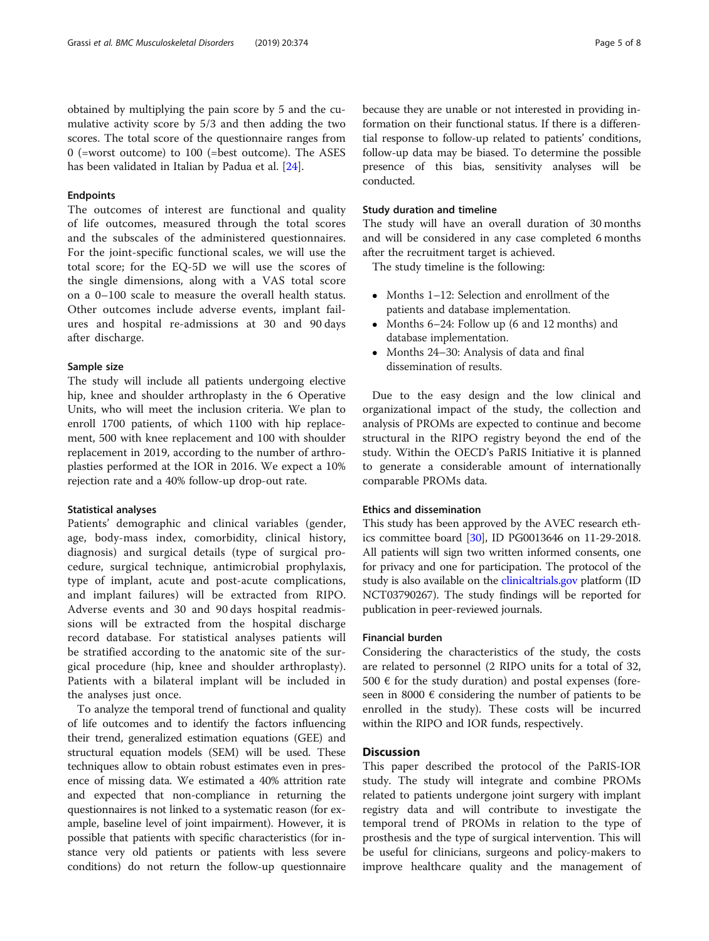obtained by multiplying the pain score by 5 and the cumulative activity score by 5/3 and then adding the two scores. The total score of the questionnaire ranges from 0 (=worst outcome) to 100 (=best outcome). The ASES has been validated in Italian by Padua et al. [\[24](#page-7-0)].

## Endpoints

The outcomes of interest are functional and quality of life outcomes, measured through the total scores and the subscales of the administered questionnaires. For the joint-specific functional scales, we will use the total score; for the EQ-5D we will use the scores of the single dimensions, along with a VAS total score on a 0–100 scale to measure the overall health status. Other outcomes include adverse events, implant failures and hospital re-admissions at 30 and 90 days after discharge.

#### Sample size

The study will include all patients undergoing elective hip, knee and shoulder arthroplasty in the 6 Operative Units, who will meet the inclusion criteria. We plan to enroll 1700 patients, of which 1100 with hip replacement, 500 with knee replacement and 100 with shoulder replacement in 2019, according to the number of arthroplasties performed at the IOR in 2016. We expect a 10% rejection rate and a 40% follow-up drop-out rate.

#### Statistical analyses

Patients' demographic and clinical variables (gender, age, body-mass index, comorbidity, clinical history, diagnosis) and surgical details (type of surgical procedure, surgical technique, antimicrobial prophylaxis, type of implant, acute and post-acute complications, and implant failures) will be extracted from RIPO. Adverse events and 30 and 90 days hospital readmissions will be extracted from the hospital discharge record database. For statistical analyses patients will be stratified according to the anatomic site of the surgical procedure (hip, knee and shoulder arthroplasty). Patients with a bilateral implant will be included in the analyses just once.

To analyze the temporal trend of functional and quality of life outcomes and to identify the factors influencing their trend, generalized estimation equations (GEE) and structural equation models (SEM) will be used. These techniques allow to obtain robust estimates even in presence of missing data. We estimated a 40% attrition rate and expected that non-compliance in returning the questionnaires is not linked to a systematic reason (for example, baseline level of joint impairment). However, it is possible that patients with specific characteristics (for instance very old patients or patients with less severe conditions) do not return the follow-up questionnaire because they are unable or not interested in providing information on their functional status. If there is a differential response to follow-up related to patients' conditions, follow-up data may be biased. To determine the possible presence of this bias, sensitivity analyses will be conducted.

## Study duration and timeline

The study will have an overall duration of 30 months and will be considered in any case completed 6 months after the recruitment target is achieved.

The study timeline is the following:

- Months 1–12: Selection and enrollment of the patients and database implementation.
- Months 6–24: Follow up (6 and 12 months) and database implementation.
- Months 24–30: Analysis of data and final dissemination of results.

Due to the easy design and the low clinical and organizational impact of the study, the collection and analysis of PROMs are expected to continue and become structural in the RIPO registry beyond the end of the study. Within the OECD's PaRIS Initiative it is planned to generate a considerable amount of internationally comparable PROMs data.

## Ethics and dissemination

This study has been approved by the AVEC research ethics committee board [[30\]](#page-7-0), ID PG0013646 on 11-29-2018. All patients will sign two written informed consents, one for privacy and one for participation. The protocol of the study is also available on the [clinicaltrials.gov](http://clinicaltrials.gov) platform (ID NCT03790267). The study findings will be reported for publication in peer-reviewed journals.

## Financial burden

Considering the characteristics of the study, the costs are related to personnel (2 RIPO units for a total of 32, 500  $\epsilon$  for the study duration) and postal expenses (foreseen in 8000  $\epsilon$  considering the number of patients to be enrolled in the study). These costs will be incurred within the RIPO and IOR funds, respectively.

## **Discussion**

This paper described the protocol of the PaRIS-IOR study. The study will integrate and combine PROMs related to patients undergone joint surgery with implant registry data and will contribute to investigate the temporal trend of PROMs in relation to the type of prosthesis and the type of surgical intervention. This will be useful for clinicians, surgeons and policy-makers to improve healthcare quality and the management of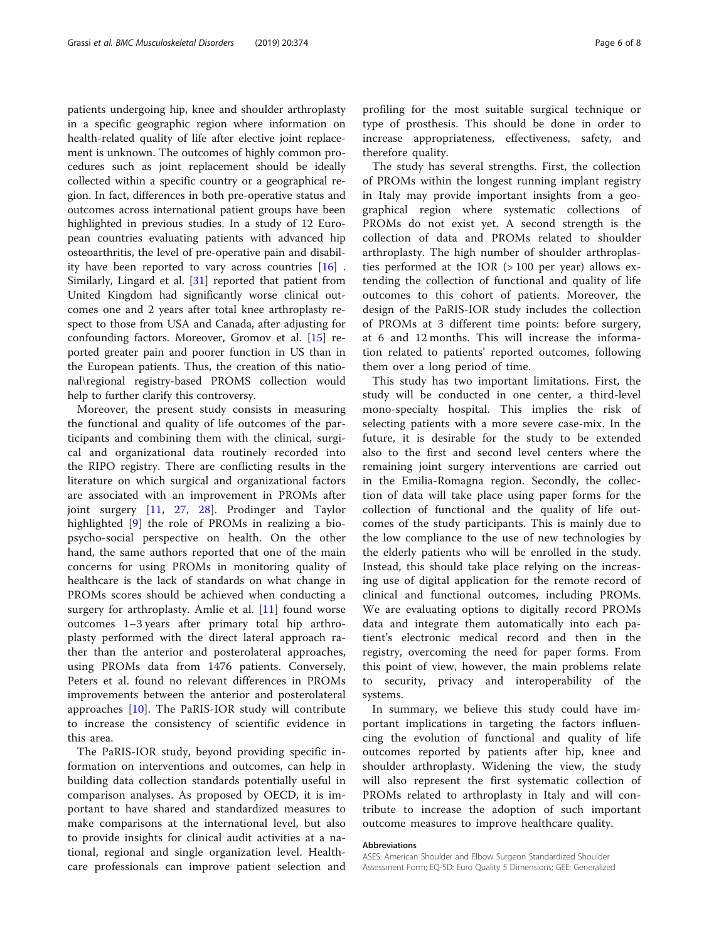patients undergoing hip, knee and shoulder arthroplasty in a specific geographic region where information on health-related quality of life after elective joint replacement is unknown. The outcomes of highly common procedures such as joint replacement should be ideally collected within a specific country or a geographical region. In fact, differences in both pre-operative status and outcomes across international patient groups have been highlighted in previous studies. In a study of 12 European countries evaluating patients with advanced hip osteoarthritis, the level of pre-operative pain and disability have been reported to vary across countries [\[16](#page-6-0)] . Similarly, Lingard et al. [\[31](#page-7-0)] reported that patient from United Kingdom had significantly worse clinical outcomes one and 2 years after total knee arthroplasty respect to those from USA and Canada, after adjusting for confounding factors. Moreover, Gromov et al. [\[15](#page-6-0)] reported greater pain and poorer function in US than in the European patients. Thus, the creation of this national\regional registry-based PROMS collection would help to further clarify this controversy.

Moreover, the present study consists in measuring the functional and quality of life outcomes of the participants and combining them with the clinical, surgical and organizational data routinely recorded into the RIPO registry. There are conflicting results in the literature on which surgical and organizational factors are associated with an improvement in PROMs after joint surgery [\[11](#page-6-0), [27,](#page-7-0) [28\]](#page-7-0). Prodinger and Taylor highlighted [\[9](#page-6-0)] the role of PROMs in realizing a biopsycho-social perspective on health. On the other hand, the same authors reported that one of the main concerns for using PROMs in monitoring quality of healthcare is the lack of standards on what change in PROMs scores should be achieved when conducting a surgery for arthroplasty. Amlie et al. [[11\]](#page-6-0) found worse outcomes 1–3 years after primary total hip arthroplasty performed with the direct lateral approach rather than the anterior and posterolateral approaches, using PROMs data from 1476 patients. Conversely, Peters et al. found no relevant differences in PROMs improvements between the anterior and posterolateral approaches [[10](#page-6-0)]. The PaRIS-IOR study will contribute to increase the consistency of scientific evidence in this area.

The PaRIS-IOR study, beyond providing specific information on interventions and outcomes, can help in building data collection standards potentially useful in comparison analyses. As proposed by OECD, it is important to have shared and standardized measures to make comparisons at the international level, but also to provide insights for clinical audit activities at a national, regional and single organization level. Healthcare professionals can improve patient selection and profiling for the most suitable surgical technique or type of prosthesis. This should be done in order to increase appropriateness, effectiveness, safety, and therefore quality.

The study has several strengths. First, the collection of PROMs within the longest running implant registry in Italy may provide important insights from a geographical region where systematic collections of PROMs do not exist yet. A second strength is the collection of data and PROMs related to shoulder arthroplasty. The high number of shoulder arthroplasties performed at the IOR (> 100 per year) allows extending the collection of functional and quality of life outcomes to this cohort of patients. Moreover, the design of the PaRIS-IOR study includes the collection of PROMs at 3 different time points: before surgery, at 6 and 12 months. This will increase the information related to patients' reported outcomes, following them over a long period of time.

This study has two important limitations. First, the study will be conducted in one center, a third-level mono-specialty hospital. This implies the risk of selecting patients with a more severe case-mix. In the future, it is desirable for the study to be extended also to the first and second level centers where the remaining joint surgery interventions are carried out in the Emilia-Romagna region. Secondly, the collection of data will take place using paper forms for the collection of functional and the quality of life outcomes of the study participants. This is mainly due to the low compliance to the use of new technologies by the elderly patients who will be enrolled in the study. Instead, this should take place relying on the increasing use of digital application for the remote record of clinical and functional outcomes, including PROMs. We are evaluating options to digitally record PROMs data and integrate them automatically into each patient's electronic medical record and then in the registry, overcoming the need for paper forms. From this point of view, however, the main problems relate to security, privacy and interoperability of the systems.

In summary, we believe this study could have important implications in targeting the factors influencing the evolution of functional and quality of life outcomes reported by patients after hip, knee and shoulder arthroplasty. Widening the view, the study will also represent the first systematic collection of PROMs related to arthroplasty in Italy and will contribute to increase the adoption of such important outcome measures to improve healthcare quality.

#### Abbreviations

ASES: American Shoulder and Elbow Surgeon Standardized Shoulder Assessment Form; EQ-5D: Euro Quality 5 Dimensions; GEE: Generalized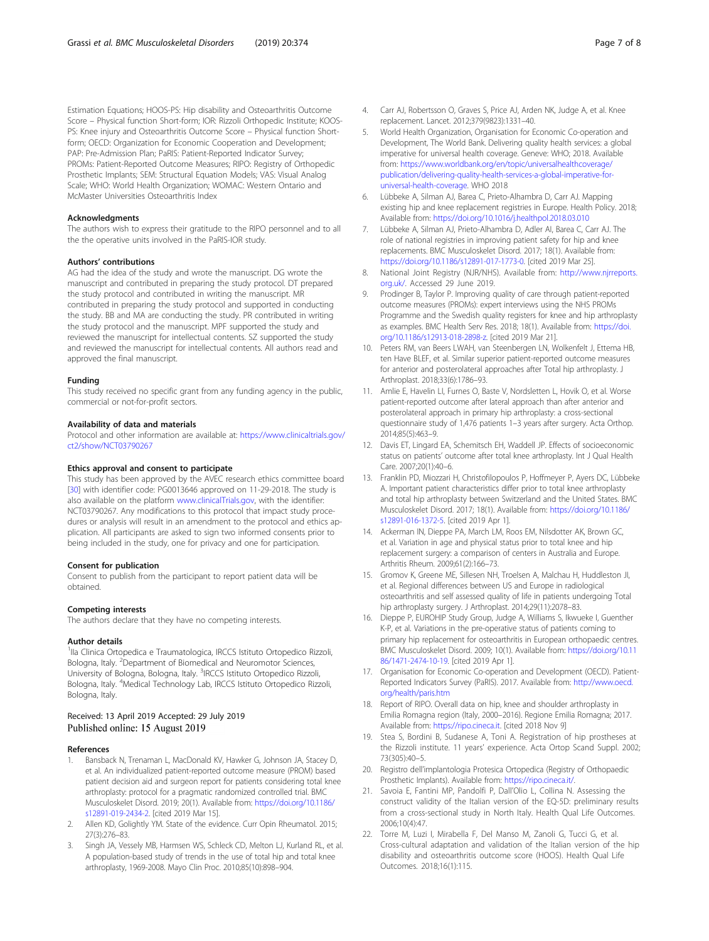<span id="page-6-0"></span>Estimation Equations; HOOS-PS: Hip disability and Osteoarthritis Outcome Score – Physical function Short-form; IOR: Rizzoli Orthopedic Institute; KOOS-PS: Knee injury and Osteoarthritis Outcome Score – Physical function Shortform; OECD: Organization for Economic Cooperation and Development; PAP: Pre-Admission Plan; PaRIS: Patient-Reported Indicator Survey; PROMs: Patient-Reported Outcome Measures; RIPO: Registry of Orthopedic Prosthetic Implants; SEM: Structural Equation Models; VAS: Visual Analog Scale; WHO: World Health Organization; WOMAC: Western Ontario and McMaster Universities Osteoarthritis Index

#### Acknowledgments

The authors wish to express their gratitude to the RIPO personnel and to all the the operative units involved in the PaRIS-IOR study.

#### Authors' contributions

AG had the idea of the study and wrote the manuscript. DG wrote the manuscript and contributed in preparing the study protocol. DT prepared the study protocol and contributed in writing the manuscript. MR contributed in preparing the study protocol and supported in conducting the study. BB and MA are conducting the study. PR contributed in writing the study protocol and the manuscript. MPF supported the study and reviewed the manuscript for intellectual contents. SZ supported the study and reviewed the manuscript for intellectual contents. All authors read and approved the final manuscript.

#### Funding

This study received no specific grant from any funding agency in the public, commercial or not-for-profit sectors.

#### Availability of data and materials

Protocol and other information are available at: [https://www.clinicaltrials.gov/](https://www.clinicaltrials.gov/ct2/show/NCT03790267) [ct2/show/NCT03790267](https://www.clinicaltrials.gov/ct2/show/NCT03790267)

#### Ethics approval and consent to participate

This study has been approved by the AVEC research ethics committee board [[30\]](#page-7-0) with identifier code: PG0013646 approved on 11-29-2018. The study is also available on the platform [www.clinicalTrials.gov,](http://www.clinicaltrials.gov) with the identifier: NCT03790267. Any modifications to this protocol that impact study procedures or analysis will result in an amendment to the protocol and ethics application. All participants are asked to sign two informed consents prior to being included in the study, one for privacy and one for participation.

#### Consent for publication

Consent to publish from the participant to report patient data will be obtained.

### Competing interests

The authors declare that they have no competing interests.

#### Author details

<sup>1</sup>lla Clinica Ortopedica e Traumatologica, IRCCS Istituto Ortopedico Rizzoli, Bologna, Italy. <sup>2</sup>Department of Biomedical and Neuromotor Sciences, University of Bologna, Bologna, Italy. <sup>3</sup>IRCCS Istituto Ortopedico Rizzoli, Bologna, Italy. <sup>4</sup>Medical Technology Lab, IRCCS Istituto Ortopedico Rizzoli, Bologna, Italy.

## Received: 13 April 2019 Accepted: 29 July 2019 Published online: 15 August 2019

#### References

- 1. Bansback N, Trenaman L, MacDonald KV, Hawker G, Johnson JA, Stacey D, et al. An individualized patient-reported outcome measure (PROM) based patient decision aid and surgeon report for patients considering total knee arthroplasty: protocol for a pragmatic randomized controlled trial. BMC Musculoskelet Disord. 2019; 20(1). Available from: [https://doi.org/10.1186/](https://doi.org/10.1186/s12891-019-2434-2) [s12891-019-2434-2.](https://doi.org/10.1186/s12891-019-2434-2) [cited 2019 Mar 15].
- 2. Allen KD, Golightly YM. State of the evidence. Curr Opin Rheumatol. 2015; 27(3):276–83.
- 3. Singh JA, Vessely MB, Harmsen WS, Schleck CD, Melton LJ, Kurland RL, et al. A population-based study of trends in the use of total hip and total knee arthroplasty, 1969-2008. Mayo Clin Proc. 2010;85(10):898–904.
- replacement. Lancet. 2012;379(9823):1331–40. 5. World Health Organization, Organisation for Economic Co-operation and Development, The World Bank. Delivering quality health services: a global imperative for universal health coverage. Geneve: WHO; 2018. Available from: [https://www.worldbank.org/en/topic/universalhealthcoverage/](https://www.worldbank.org/en/topic/universalhealthcoverage/publication/delivering-quality-health-services-a-global-imperative-for-universal-health-coverage) [publication/delivering-quality-health-services-a-global-imperative-for](https://www.worldbank.org/en/topic/universalhealthcoverage/publication/delivering-quality-health-services-a-global-imperative-for-universal-health-coverage)[universal-health-coverage.](https://www.worldbank.org/en/topic/universalhealthcoverage/publication/delivering-quality-health-services-a-global-imperative-for-universal-health-coverage) WHO 2018
- 6. Lübbeke A, Silman AJ, Barea C, Prieto-Alhambra D, Carr AJ. Mapping existing hip and knee replacement registries in Europe. Health Policy. 2018; Available from: <https://doi.org/10.1016/j.healthpol.2018.03.010>
- 7. Lübbeke A, Silman AJ, Prieto-Alhambra D, Adler AI, Barea C, Carr AJ. The role of national registries in improving patient safety for hip and knee replacements. BMC Musculoskelet Disord. 2017; 18(1). Available from: <https://doi.org/10.1186/s12891-017-1773-0>. [cited 2019 Mar 25].
- National Joint Registry (NJR/NHS). Available from: [http://www.njrreports.](http://www.njrreports.org.uk/) [org.uk/](http://www.njrreports.org.uk/). Accessed 29 June 2019.
- 9. Prodinger B, Taylor P. Improving quality of care through patient-reported outcome measures (PROMs): expert interviews using the NHS PROMs Programme and the Swedish quality registers for knee and hip arthroplasty as examples. BMC Health Serv Res. 2018; 18(1). Available from: [https://doi.](https://doi.org/10.1186/s12913-018-2898-z) [org/10.1186/s12913-018-2898-z.](https://doi.org/10.1186/s12913-018-2898-z) [cited 2019 Mar 21].
- 10. Peters RM, van Beers LWAH, van Steenbergen LN, Wolkenfelt J, Ettema HB, ten Have BLEF, et al. Similar superior patient-reported outcome measures for anterior and posterolateral approaches after Total hip arthroplasty. J Arthroplast. 2018;33(6):1786–93.
- 11. Amlie E, Havelin LI, Furnes O, Baste V, Nordsletten L, Hovik O, et al. Worse patient-reported outcome after lateral approach than after anterior and posterolateral approach in primary hip arthroplasty: a cross-sectional questionnaire study of 1,476 patients 1–3 years after surgery. Acta Orthop. 2014;85(5):463–9.
- 12. Davis ET, Lingard EA, Schemitsch EH, Waddell JP. Effects of socioeconomic status on patients' outcome after total knee arthroplasty. Int J Qual Health Care. 2007;20(1):40–6.
- 13. Franklin PD, Miozzari H, Christofilopoulos P, Hoffmeyer P, Ayers DC, Lübbeke A. Important patient characteristics differ prior to total knee arthroplasty and total hip arthroplasty between Switzerland and the United States. BMC Musculoskelet Disord. 2017; 18(1). Available from: [https://doi.org/10.1186/](https://doi.org/10.1186/s12891-016-1372-5) [s12891-016-1372-5.](https://doi.org/10.1186/s12891-016-1372-5) [cited 2019 Apr 1].
- 14. Ackerman IN, Dieppe PA, March LM, Roos EM, Nilsdotter AK, Brown GC, et al. Variation in age and physical status prior to total knee and hip replacement surgery: a comparison of centers in Australia and Europe. Arthritis Rheum. 2009;61(2):166–73.
- 15. Gromov K, Greene ME, Sillesen NH, Troelsen A, Malchau H, Huddleston JI, et al. Regional differences between US and Europe in radiological osteoarthritis and self assessed quality of life in patients undergoing Total hip arthroplasty surgery. J Arthroplast. 2014;29(11):2078-83.
- 16. Dieppe P, EUROHIP Study Group, Judge A, Williams S, Ikwueke I, Guenther K-P, et al. Variations in the pre-operative status of patients coming to primary hip replacement for osteoarthritis in European orthopaedic centres. BMC Musculoskelet Disord. 2009; 10(1). Available from: [https://doi.org/10.11](https://doi.org/10.1186/1471-2474-10-19) [86/1471-2474-10-19](https://doi.org/10.1186/1471-2474-10-19). [cited 2019 Apr 1].
- 17. Organisation for Economic Co-operation and Development (OECD). Patient-Reported Indicators Survey (PaRIS). 2017. Available from: [http://www.oecd.](http://www.oecd.org/health/paris.htm) [org/health/paris.htm](http://www.oecd.org/health/paris.htm)
- 18. Report of RIPO. Overall data on hip, knee and shoulder arthroplasty in Emilia Romagna region (Italy, 2000–2016). Regione Emilia Romagna; 2017. Available from: <https://ripo.cineca.it>. [cited 2018 Nov 9]
- 19. Stea S, Bordini B, Sudanese A, Toni A. Registration of hip prostheses at the Rizzoli institute. 11 years' experience. Acta Ortop Scand Suppl. 2002; 73(305):40–5.
- 20. Registro dell'implantologia Protesica Ortopedica (Registry of Orthopaedic Prosthetic Implants). Available from: <https://ripo.cineca.it/>.
- 21. Savoia E, Fantini MP, Pandolfi P, Dall'Olio L, Collina N. Assessing the construct validity of the Italian version of the EQ-5D: preliminary results from a cross-sectional study in North Italy. Health Qual Life Outcomes. 2006;10(4):47.
- 22. Torre M, Luzi I, Mirabella F, Del Manso M, Zanoli G, Tucci G, et al. Cross-cultural adaptation and validation of the Italian version of the hip disability and osteoarthritis outcome score (HOOS). Health Qual Life Outcomes. 2018;16(1):115.